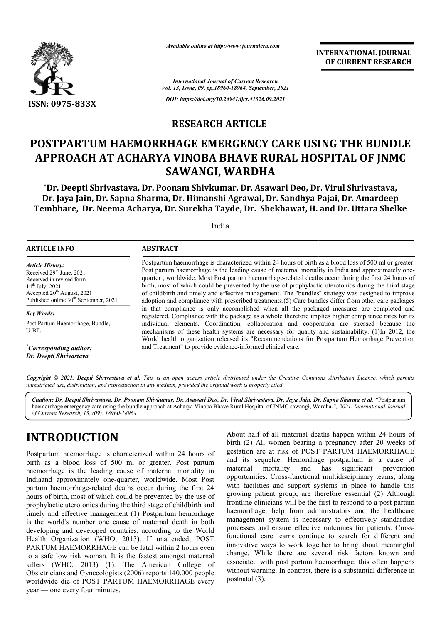

*Available online at http://www.journalcra.com*

**INTERNATIONAL JOURNAL OF CURRENT RESEARCH**

*International Journal of Current Research Vol. 13, Issue, 09, pp.18960-18964, September, 2021 DOI: https://doi.org/10.24941/ijcr.41326.09.2021*

**RESEARCH ARTICLE**

# **POSTPARTUM HAEMORRHAGE EMERGENCY CARE USING THE BUNDLE<br>
APPROACH AT ACHARYA VINOBA BHAVE RURAL HOSPITAL OF JNMC<br>
SAWANGI, WARDHA<br>
\*Dr. Deepti Shrivastava, Dr. Poonam Shivkumar, Dr. Asawari Deo, Dr. Virul Shrivastava,<br>
Dr. APPROACH AT ACHARYA VINOBA BHAVE RURAL HOSPITAL OF JNMC SAWANGI, WARDHA**

**\*Dr. Deepti Shrivastava, Dr. Poonam Shivkumar, Dr. Asawari Deo, Dr. Virul Shrivastava, Dr. Dr. Jaya Jain, Dr. Sapna Sharma, Dr. Himanshi Agrawal, Dr. Sandhya Pajai, Dr. Amardeep Tembhare, Dr. Neema Acharya, Dr. Surekha Tayde, Dr. Shekhawat, H. and Dr**

India

| <b>ARTICLE INFO</b>                                                                                                                                                                                   | <b>ABSTRACT</b>                                                                                                                                                                                                                                                                                                                                                                                                                                                                                                                                                                                                                          |  |
|-------------------------------------------------------------------------------------------------------------------------------------------------------------------------------------------------------|------------------------------------------------------------------------------------------------------------------------------------------------------------------------------------------------------------------------------------------------------------------------------------------------------------------------------------------------------------------------------------------------------------------------------------------------------------------------------------------------------------------------------------------------------------------------------------------------------------------------------------------|--|
| <b>Article History:</b><br>Received 29 <sup>th</sup> June, 2021<br>Received in revised form<br>$14th$ July, 2021<br>Accepted $20th$ August, 2021<br>Published online 30 <sup>th</sup> September, 2021 | Postpartum haemorrhage is characterized within 24 hours of birth as a blood loss of 500 ml or greater.<br>Post partum haemorrhage is the leading cause of maternal mortality in India and approximately one-<br>quarter, worldwide. Most Post partum haemorrhage-related deaths occur during the first 24 hours of<br>birth, most of which could be prevented by the use of prophylactic uterotonics during the third stage<br>of childbirth and timely and effective management. The "bundles" strategy was designed to improve<br>adoption and compliance with prescribed treatments. (5) Care bundles differ from other care packages |  |
| <b>Key Words:</b><br>Post Partum Haemorrhage, Bundle,<br>U-BT.                                                                                                                                        | in that compliance is only accomplished when all the packaged measures are completed and<br>registered. Compliance with the package as a whole therefore implies higher compliance rates for its<br>individual elements. Coordination, collaboration and cooperation are stressed because the<br>mechanisms of these health systems are necessary for quality and sustainability. (1)In 2012, the<br>World health organization released its "Recommendations for Postpartum Hemorrhage Prevention                                                                                                                                        |  |
| "Corresponding author:<br>Dr. Deepti Shrivastava                                                                                                                                                      | and Treatment" to provide evidence-informed clinical care.                                                                                                                                                                                                                                                                                                                                                                                                                                                                                                                                                                               |  |

Copyright © 2021. Deepti Shrivastava et al. This is an open access article distributed under the Creative Commons Attribution License, which permits *unrestricted use, distribution, and reproduction in any medium, provided the original work is properly cited.*

*Citation: Dr. Deepti Shrivastava, Dr. Poonam Shivkumar, Dr. Asawari Deo, Dr. Virul Shrivastava, Dr. Jaya Jain, Dr. Sapna Sharma Dr. Jaya Sharma et al. "*Postpartum haemorrhage emergency care using the bundle approach at Acharya Vinoba Bhave Rural Hospital of JNMC sawangi, Wardha. Wardha.*", 2021. International Journalof Current Research, 13, (09), 18960-18964.*

# **INTRODUCTION**

Postpartum haemorrhage is characterized within 24 hours of birth as a blood loss of 500 ml or greater. Post partum haemorrhage is the leading cause of maternal mortality in Indiaand approximately one-quarter, worldwide. Most Post partum haemorrhage-related deaths occur during the first 24 hours of birth, most of which could be prevented by the use of prophylactic uterotonics during the third stage of childbirth and timely and effective management (1) Postpartum hemorrhage is the world's number one cause of maternal death in both developing and developed countries, according to the World Health Organization (WHO, 2013). If unattended, POST PARTUM HAEMORRHAGE can be fatal within 2 hours even to a safe low risk woman. It is the fastest amongst maternal killers (WHO, 2013) (1). The American College of Obstetricians and Gynecologists (2006) reports 140,000 people worldwide die of POST PARTUM HAEMORRHAGE every year — one every four minutes. **DUCTION**<br> **EXELENT A** bout half of all maternal deaths<br>
brith (2) All woms bearing a present<br>
lood loss of 500 ml or greater. Post partum<br>
and its sequelae. Hemorrhage 1<br>
is the leading cause of maternal mortality in<br>
mat

birth (2) All women bearing a pregnancy after 20 weeks of gestation are at risk of POST PARTUM HAEMORRHAGE and its sequelae. Hemorrhage postpartum is a cause of maternal mortality and has significant prevention opportunities. Cross-functional multidisciplinary teams, along with facilities and support systems in place to handle this growing patient group, are therefore essential frontline clinicians will be the first to respond to a post partum haemorrhage, help from administrators and the healthcare management system is necessary to effectively standardize processes and ensure effective outcomes for patients. Cross functional care teams continue to search for different and innovative ways to work together to bring about meaningful change. While there are several risk factors known and associated with post partum haemorrhage, this often happens without warning. In contrast, there is a substantial difference in postnatal (3). About half of all maternal deaths happen within 24 hours of birth (2) All women bearing a pregnancy after 20 weeks of gestation are at risk of POST PARTUM HAEMORRHAGE and its sequelae. Hemorrhage postpartum is a cause of maternal mortality and has significant prevention opportuniti linicians will be the first to respond to a post partum<br>ge, help from administrators and the healthcare<br>nt system is necessary to effectively standardize<br>and ensure effective outcomes for patients. Cross-INTERNATIONAL JOURNAL OF THE RESEARCH<br>
INTERNATIONAL JOURNAL OF CURRENT RESEARCH<br>
10 *Mond, September, 2021*<br>
2*MHg-c.41226.09.2021*<br> **URTICLE**<br> **URTICLE WORKENT RESEARCH**<br> **URTICLE WORK INTERNATION OF THE BUNDLE**<br> **HAVE**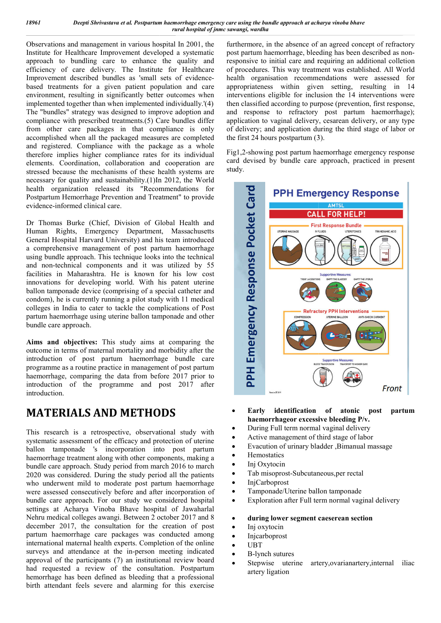Observations and management in various hospital In 2001, the Institute for Healthcare Improvement developed a systematic approach to bundling care to enhance the quality and efficiency of care delivery. The Institute for Healthcare Improvement described bundles as 'small sets of evidencebased treatments for a given patient population and care environment, resulting in significantly better outcomes when implemented together than when implemented individually.'(4) The "bundles" strategy was designed to improve adoption and compliance with prescribed treatments.(5) Care bundles differ from other care packages in that compliance is only accomplished when all the packaged measures are completed and registered. Compliance with the package as a whole therefore implies higher compliance rates for its individual elements. Coordination, collaboration and cooperation are stressed because the mechanisms of these health systems are necessary for quality and sustainability.(1)In 2012, the World health organization released its "Recommendations for Postpartum Hemorrhage Prevention and Treatment" to provide evidence-informed clinical care. egistered. Compliance with the package as a whole<br>ore implies higher compliance rates for its individual<br>nts. Coordination, collaboration and cooperation are<br>ed because the mechanisms of these health systems are<br>sary for q

Dr Thomas Burke (Chief, Division of Global Health and Human Rights, Emergency Department, Massachusetts General Hospital Harvard University) and his team introduced a comprehensive management of post partum haemorrhage using bundle approach. This technique looks into the technical and non-technical components and it was utilized by 55 facilities in Maharashtra. He is known for his low cost innovations for developing world. With his patent uterine ballon tamponade device (comprising of a special catheter and condom), he is currently running a pilot study with 11 medical colleges in India to cater to tackle the complications of Post partum haemorrhage using uterine ballon tamponade and other bundle care approach.

**Aims and objectives:** This study aims at comparing the outcome in terms of maternal mortality and morbidity after the introduction of post partum haemorrhage bundle care programme as a routine practice in management of post partum haemorrhage, comparing the data from before 2017 prior to introduction of the programme and post 2017 after introduction.

# **MATERIALS AND METHODS**

This research is a retrospective, observational study with systematic assessment of the efficacy and protection of uterine ballon tamponade 's incorporation into post partum haemorrhage treatment along with other components, making a bundle care approach. Study period from march 2016 to march 2020 was considered. During the study period all the patients who underwent mild to moderate post partum haemorrhage were assessed consecutively before and after incorporation of bundle care approach. For our study we considered hospital settings at Acharya Vinoba Bhave hospital of Jawaharlal Nehru medical colleges awangi. Between 2 october 2017 and 8 december 2017, the consultation for the creation of post partum haemorrhage care packages was conducted among international maternal health experts. Completion of the online surveys and attendance at the in-person meeting indicated approval of the participants (7) an institutional review board had requested a review of the consultation. Postpartum hemorrhage has been defined as bleeding that a professional birth attendant feels severe and alarming for this exercise

post partum haemorrhage, bleeding has been described as nonresponsive to initial care and requiring an additional colletion responsive to initial care and requiring an additional colletion<br>of procedures. This way treatment was established. All World health organisation recommendations were assessed for appropriateness within given setting, resulting in 14 interventions eligible for inclusion the 14 interventions were then classified according to purpose (prevention, first response, and response to refractory post partum haemorrhage); application to vaginal delivery, cesarean delivery, or any type of delivery; and application during the third stage of labor or the first 24 hours postpartum (3). the first 24 hours postpartum (3) furthermore, in the absence of an agreed concept of refractory assessed for priateness within given setting, resulting in 14 entions eligible for inclusion the 14 interventions were lassified according to purpose (prevention, first response, response to refractory post partum haemorrh

Fig1,2-showing post partum haemorrhage emergency response Fig1,2-showing post partum haemorrhage emergency response card devised by bundle care approach, practiced in present study.



- **Early identification of atonic post partum Early identification of atonic <br>haemorrhageor excessive bleeding P/v.**
- During Full term normal vaginal delivery
- Active management of third stage of labor
- Evacution of urinary bladder ,Bimanual massage
- Hemostatics
- Inj Oxytocin
- During Full term normal vaginal delive<br>
 Active management of third stage of la<br>
Evacution of urinary bladder ,Bimanua<br>
 Hemostatics<br>
 Inj Oxytocin<br>
 Tab misoprost-Subcutaneous,per rectal
- InjCarboprost
- Tamponade/Uterine ballon tamponade
- Exploration after Full term normal vaginal delivery

#### **during lower segment caeserean section segment caeserean**

- Inj oxytocin
- Injcarboprost
- UBT
- B-lynch sutures
- Stepwise uterine artery, ovarianartery, internal iliac artery ligation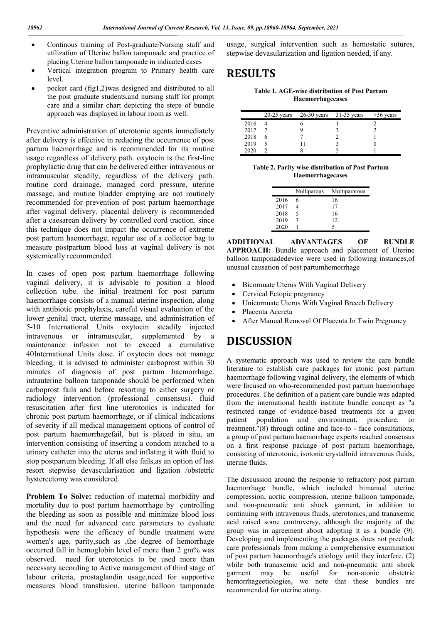- Continous training of Post-graduate/Nursing staff and utilization of Uterine ballon tamponade and practice of placing Uterine ballon tamponade in indicated cases
- Vertical integration program to Primary health care level.
- pocket card (fig1,2)was designed and distributed to all the post graduate students,and nursing staff for prompt care and a similar chart depicting the steps of bundle approach was displayed in labour room as well.

Preventive administration of uterotonic agents immediately after delivery is effective in reducing the occurrence of post partum haemorrhage and is recommended for its routine usage regardless of delivery path. oxytocin is the first-line prophylactic drug that can be delivered either intravenous or intramuscular steadily, regardless of the delivery path. routine cord drainage, managed cord pressure, uterine massage, and routine bladder emptying are not routinely recommended for prevention of post partum haemorrhage after vaginal delivery. placental delivery is recommended after a caesarean delivery by controlled cord traction. since this technique does not impact the occurrence of extreme post partum haemorrhage, regular use of a collector bag to measure postpartum blood loss at vaginal delivery is not systemically recommended.

In cases of open post partum haemorrhage following vaginal delivery, it is advisable to position a blood collection tube. the initial treatment for post partum haemorrhage consists of a manual uterine inspection, along with antibiotic prophylaxis, careful visual evaluation of the lower genital tract, uterine massage, and administration of 5-10 International Units oxytocin steadily injected intravenous or intramuscular, supplemented by a maintenance infusion not to exceed a cumulative 40International Units dose. if oxytocin does not manage bleeding, it is advised to administer carboprost within 30 minutes of diagnosis of post partum haemorrhage. intrauterine balloon tamponade should be performed when carboprost fails and before resorting to either surgery or radiology intervention (professional consensus). fluid resuscitation after first line uterotonics is indicated for chronic post partum haemorrhage, or if clinical indications of severity if all medical management options of control of post partum haemorrhagefail, but is placed in situ, an intervention consisting of inserting a condom attached to a urinary catheter into the uterus and inflating it with fluid to stop postpartum bleeding. If all else fails,as an option of last resort stepwise devascularisation and ligation /obstetric hysterectomy was considered.

**Problem To Solve:** reduction of maternal morbidity and mortality due to post partum haemorrhage by controlling the bleeding as soon as possible and minimize blood loss and the need for advanced care parameters to evaluate hypothesis were the efficacy of bundle treatment were women's age, parity,such as ,the degree of hemorrhage occurred fall in hemoglobin level of more than 2 gm% was observed. need for uterotonics to be used more than necessary according to Active management of third stage of labour criteria, prostaglandin usage,need for supportive measures blood transfusion, uterine balloon tamponade

usage, surgical intervention such as hemostatic sutures, stepwise devasularization and ligation needed, if any.

## **RESULTS**

**Table 1. AGE-wise distribution of Post Partum Haemorrhagecases**

|      | $20-25$ years | $26-30$ years $31-35$ years | $>36$ years |
|------|---------------|-----------------------------|-------------|
| 2016 |               |                             |             |
| 2017 |               |                             |             |
| 2018 |               |                             |             |
| 2019 |               |                             |             |
| 2020 |               |                             |             |

| Table 2. Parity wise distribution of Post Partum |
|--------------------------------------------------|
| <b>Haemorrhagecases</b>                          |

|      | Nulliparous | Multipararous |
|------|-------------|---------------|
| 2016 | 6           | 16            |
| 2017 |             | 17            |
| 2018 | 5           | 16            |
| 2019 | ٩           | 12            |
| 2020 |             |               |

**ADDITIONAL ADVANTAGES OF BUNDLE APPROACH:** Bundle approach and placement of Uterine balloon tamponadedevice were used in following instances,of unusual causation of post partumhemorrhage

- Bicornuate Uterus With Vaginal Delivery
- Cervical Ectopic pregnancy
- Unicornuate Uterus With Vaginal Breech Delivery
- Placenta Accreta
- After Manual Removal Of Placenta In Twin Pregnancy

# **DISCUSSION**

A systematic approach was used to review the care bundle literature to establish care packages for atonic post partum haemorrhage following vaginal delivery, the elements of which were focused on who-recommended post partum haemorrhage procedures. The definition of a patient care bundle was adapted from the international health institute bundle concept as "a restricted range of evidence-based treatments for a given patient population and environment, procedure, or treatment."(8) through online and face-to - face consultations, a group of post partum haemorrhage experts reached consensus on a first response package of post partum haemorrhage, consisting of uterotonic, isotonic crystalloid intravenous fluids, uterine fluids.

The discussion around the response to refractory post partum haemorrhage bundle, which included bimanual uterine compression, aortic compression, uterine balloon tamponade, and non-pneumatic anti shock garment, in addition to continuing with intravenous fluids, uterotonics, and tranaxemic acid raised some controversy, although the majority of the group was in agreement about adopting it as a bundle (9). Developing and implementing the packages does not preclude care professionals from making a comprehensive examination of post partum haemorrhage's etiology until they interfere. (2) while both tranaxemic acid and non-pneumatic anti shock garment may be useful for non-atonic obstetric hemorrhageetiologies, we note that these bundles are recommended for uterine atony.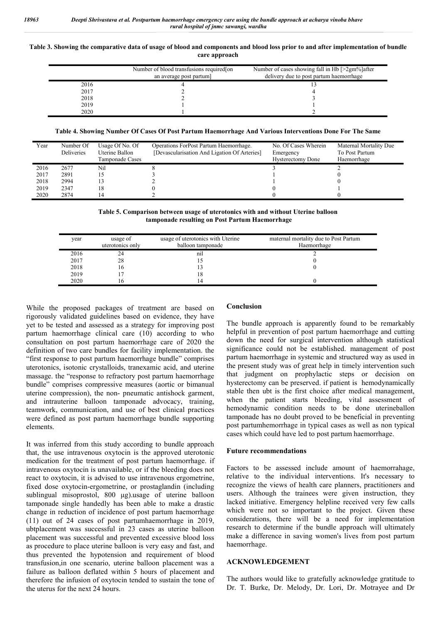#### **Table 3. Showing the comparative data of usage of blood and components and blood loss prior to and after implementation of bundle care approach**

|      | Number of blood transfusions required [on<br>an average post partum | Number of cases showing fall in Hb $[>2gm\%]$ after<br>delivery due to post partum haemorrhage |
|------|---------------------------------------------------------------------|------------------------------------------------------------------------------------------------|
| 2016 |                                                                     |                                                                                                |
| 2017 |                                                                     |                                                                                                |
| 2018 |                                                                     |                                                                                                |
| 2019 |                                                                     |                                                                                                |
| 2020 |                                                                     |                                                                                                |

#### **Table 4. Showing Number Of Cases Of Post Partum Haemorrhage And Various Interventions Done For The Same**

| Year | Number Of<br>Deliveries | Usage Of No. Of<br>Uterine Ballon<br>Tamponade Cases | Operations ForPost Partum Haemorrhage.<br>[Devascularisation And Ligation Of Arteries] | No. Of Cases Wherein<br>Emergency<br><b>Hysterectomy Done</b> | Maternal Mortality Due<br>To Post Partum<br>Haemorrhage |
|------|-------------------------|------------------------------------------------------|----------------------------------------------------------------------------------------|---------------------------------------------------------------|---------------------------------------------------------|
| 2016 | 2677                    | Nil                                                  |                                                                                        |                                                               |                                                         |
| 2017 | 2891                    |                                                      |                                                                                        |                                                               |                                                         |
| 2018 | 2994                    |                                                      |                                                                                        |                                                               |                                                         |
| 2019 | 2347                    |                                                      |                                                                                        |                                                               |                                                         |
| 2020 | 2874                    |                                                      |                                                                                        |                                                               |                                                         |

**Table 5. Comparison between usage of uterotonics with and without Uterine balloon tamponade resulting on Post Partum Haemorrhage**

| vear | usage of         | usage of uterotonics with Uterine | maternal mortality due to Post Partum |
|------|------------------|-----------------------------------|---------------------------------------|
|      | uterotonics only | balloon tamponade                 | Haemorrhage                           |
| 2016 | 24               | nıl                               |                                       |
| 2017 | 28               |                                   |                                       |
| 2018 | 16               |                                   |                                       |
| 2019 |                  |                                   |                                       |
| 2020 | I O              |                                   |                                       |

While the proposed packages of treatment are based on rigorously validated guidelines based on evidence, they have yet to be tested and assessed as a strategy for improving post partum haemorrhage clinical care (10) according to who consultation on post partum haemorrhage care of 2020 the definition of two care bundles for facility implementation. the "first response to post partum haemorrhage bundle" comprises uterotonics, isotonic crystalloids, tranexamic acid, and uterine massage. the "response to refractory post partum haemorrhage bundle" comprises compressive measures (aortic or bimanual uterine compression), the non- pneumatic antishock garment, and intrauterine balloon tamponade advocacy, training, teamwork, communication, and use of best clinical practices were defined as post partum haemorrhage bundle supporting elements.

It was inferred from this study according to bundle approach that, the use intravenous oxytocin is the approved uterotonic medication for the treatment of post partum haemorrhage. if intravenous oxytocin is unavailable, or if the bleeding does not react to oxytocin, it is advised to use intravenous ergometrine, fixed dose oxytocin-ergometrine, or prostaglandin (including sublingual misoprostol, 800 μg).usage of uterine balloon tamponade single handedly has been able to make a drastic change in reduction of incidence of post partum haemorrhage (11) out of 24 cases of post partumhaemorrhage in 2019, ubtplacement was successful in 23 cases as uterine balloon placement was successful and prevented excessive blood loss as procedure to place uterine balloon is very easy and fast, and thus prevented the hypotension and requirement of blood transfusion,in one scenario, uterine balloon placement was a failure as balloon deflated within 5 hours of placement and therefore the infusion of oxytocin tended to sustain the tone of the uterus for the next 24 hours.

#### **Conclusion**

The bundle approach is apparently found to be remarkably helpful in prevention of post partum haemorrhage and cutting down the need for surgical intervention although statistical significance could not be established. management of post partum haemorrhage in systemic and structured way as used in the present study was of great help in timely intervention such that judgment on prophylactic steps or decision on hysterectomy can be preserved. if patient is hemodynamically stable then ubt is the first choice after medical management, when the patient starts bleeding, vital assessment of hemodynamic condition needs to be done uterineballon tamponade has no doubt proved to be beneficial in preventing post partumhemorrhage in typical cases as well as non typical cases which could have led to post partum haemorrhage.

#### **Future recommendations**

Factors to be assessed include amount of haemorrahage, relative to the individual interventions. It's necessary to recognize the views of health care planners, practitioners and users. Although the trainees were given instruction, they lacked initiative. Emergency helpline received very few calls which were not so important to the project. Given these considerations, there will be a need for implementation research to determine if the bundle approach will ultimately make a difference in saving women's lives from post partum haemorrhage.

#### **ACKNOWLEDGEMENT**

The authors would like to gratefully acknowledge gratitude to Dr. T. Burke, Dr. Melody, Dr. Lori, Dr. Motrayee and Dr